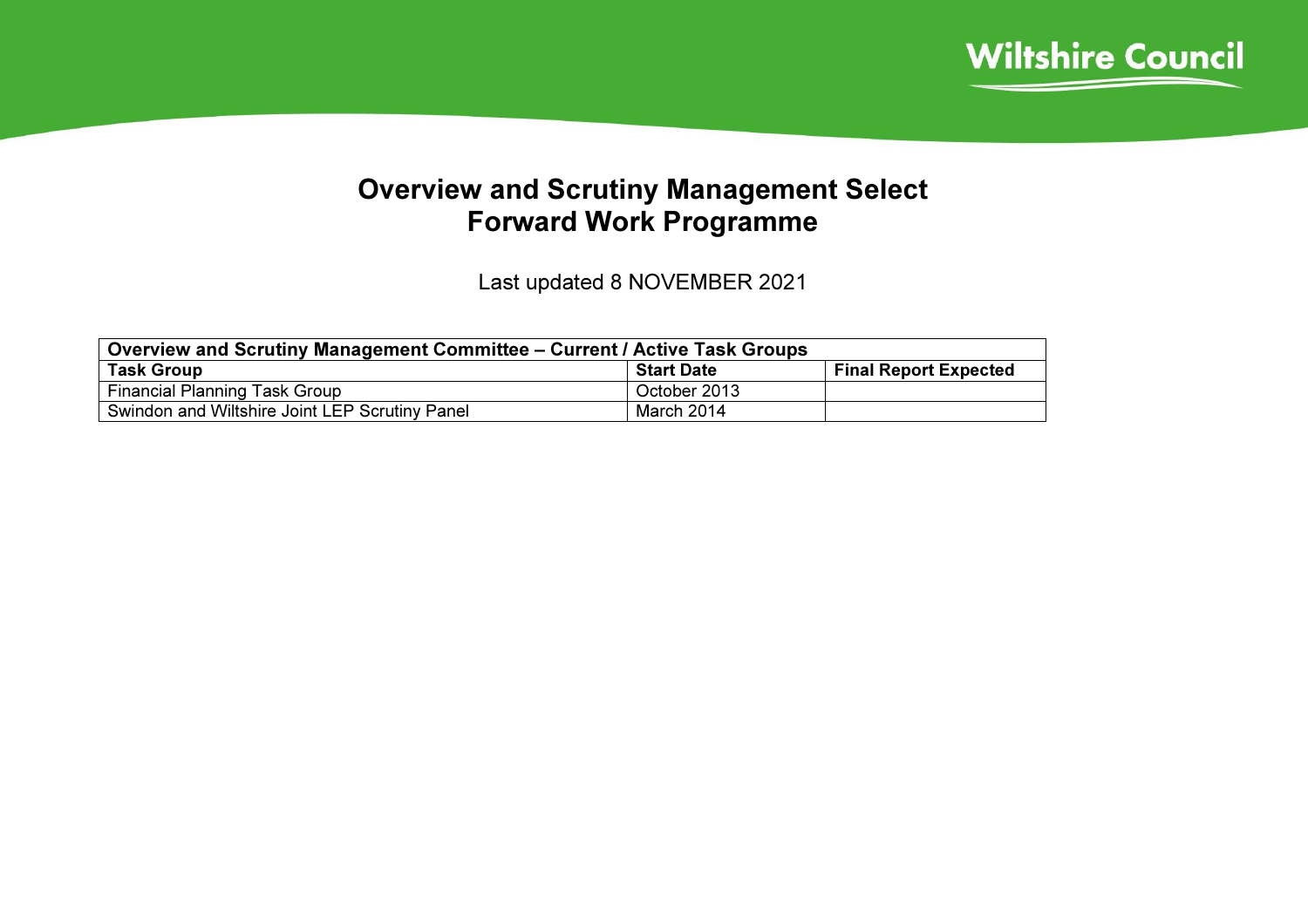

## Overview and Scrutiny Management Select Forward Work Programme

Last updated 8 NOVEMBER 2021

| Overview and Scrutiny Management Committee – Current / Active Task Groups |                   |                              |  |  |  |
|---------------------------------------------------------------------------|-------------------|------------------------------|--|--|--|
| <b>Task Group</b>                                                         | <b>Start Date</b> | <b>Final Report Expected</b> |  |  |  |
| <b>Financial Planning Task Group</b>                                      | October 2013      |                              |  |  |  |
| Swindon and Wiltshire Joint LEP Scrutiny Panel                            | March 2014        |                              |  |  |  |